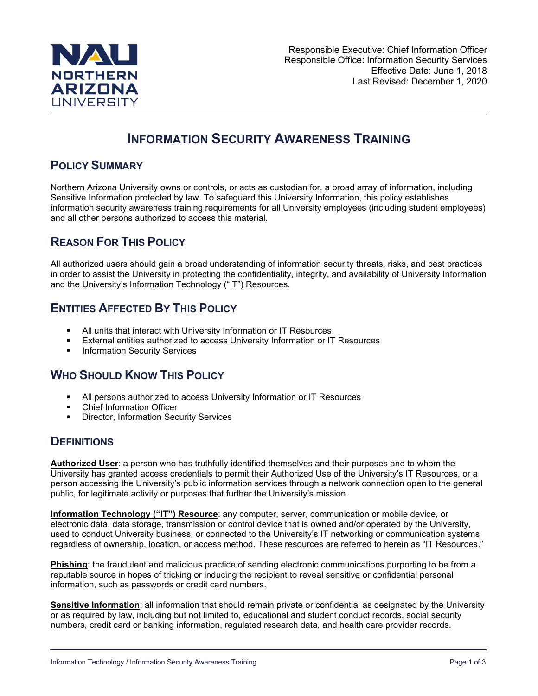

# **INFORMATION SECURITY AWARENESS TRAINING**

### **POLICY SUMMARY**

Northern Arizona University owns or controls, or acts as custodian for, a broad array of information, including Sensitive Information protected by law. To safeguard this University Information, this policy establishes information security awareness training requirements for all University employees (including student employees) and all other persons authorized to access this material.

# **REASON FOR THIS POLICY**

All authorized users should gain a broad understanding of information security threats, risks, and best practices in order to assist the University in protecting the confidentiality, integrity, and availability of University Information and the University's Information Technology ("IT") Resources.

# **ENTITIES AFFECTED BY THIS POLICY**

- All units that interact with University Information or IT Resources
- External entities authorized to access University Information or IT Resources
- **Information Security Services**

## **WHO SHOULD KNOW THIS POLICY**

- All persons authorized to access University Information or IT Resources
- Chief Information Officer
- **Director, Information Security Services**

### **DEFINITIONS**

**Authorized User**: a person who has truthfully identified themselves and their purposes and to whom the University has granted access credentials to permit their Authorized Use of the University's IT Resources, or a person accessing the University's public information services through a network connection open to the general public, for legitimate activity or purposes that further the University's mission.

**Information Technology ("IT") Resource**: any computer, server, communication or mobile device, or electronic data, data storage, transmission or control device that is owned and/or operated by the University, used to conduct University business, or connected to the University's IT networking or communication systems regardless of ownership, location, or access method. These resources are referred to herein as "IT Resources."

**Phishing**: the fraudulent and malicious practice of sending electronic communications purporting to be from a reputable source in hopes of tricking or inducing the recipient to reveal sensitive or confidential personal information, such as passwords or credit card numbers.

**Sensitive Information**: all information that should remain private or confidential as designated by the University or as required by law, including but not limited to, educational and student conduct records, social security numbers, credit card or banking information, regulated research data, and health care provider records.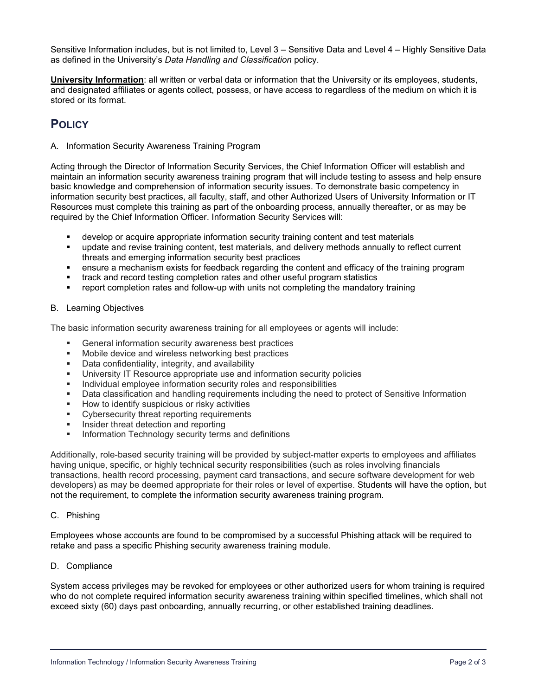Sensitive Information includes, but is not limited to, Level 3 – Sensitive Data and Level 4 – Highly Sensitive Data as defined in the University's *Data Handling and Classification* policy.

**University Information**: all written or verbal data or information that the University or its employees, students, and designated affiliates or agents collect, possess, or have access to regardless of the medium on which it is stored or its format.

# **POLICY**

A. Information Security Awareness Training Program

Acting through the Director of Information Security Services, the Chief Information Officer will establish and maintain an information security awareness training program that will include testing to assess and help ensure basic knowledge and comprehension of information security issues. To demonstrate basic competency in information security best practices, all faculty, staff, and other Authorized Users of University Information or IT Resources must complete this training as part of the onboarding process, annually thereafter, or as may be required by the Chief Information Officer. Information Security Services will:

- develop or acquire appropriate information security training content and test materials
- update and revise training content, test materials, and delivery methods annually to reflect current threats and emerging information security best practices
- ensure a mechanism exists for feedback regarding the content and efficacy of the training program
- track and record testing completion rates and other useful program statistics
- report completion rates and follow-up with units not completing the mandatory training

#### B. Learning Objectives

The basic information security awareness training for all employees or agents will include:

- General information security awareness best practices
- **Mobile device and wireless networking best practices**
- **Data confidentiality, integrity, and availability**
- University IT Resource appropriate use and information security policies
- **Individual employee information security roles and responsibilities**
- Data classification and handling requirements including the need to protect of Sensitive Information
- **How to identify suspicious or risky activities**
- **EXECUTE:** Cybersecurity threat reporting requirements
- **Insider threat detection and reporting**
- **Information Technology security terms and definitions**

Additionally, role-based security training will be provided by subject-matter experts to employees and affiliates having unique, specific, or highly technical security responsibilities (such as roles involving financials transactions, health record processing, payment card transactions, and secure software development for web developers) as may be deemed appropriate for their roles or level of expertise. Students will have the option, but not the requirement, to complete the information security awareness training program.

#### C. Phishing

Employees whose accounts are found to be compromised by a successful Phishing attack will be required to retake and pass a specific Phishing security awareness training module.

#### D. Compliance

System access privileges may be revoked for employees or other authorized users for whom training is required who do not complete required information security awareness training within specified timelines, which shall not exceed sixty (60) days past onboarding, annually recurring, or other established training deadlines.